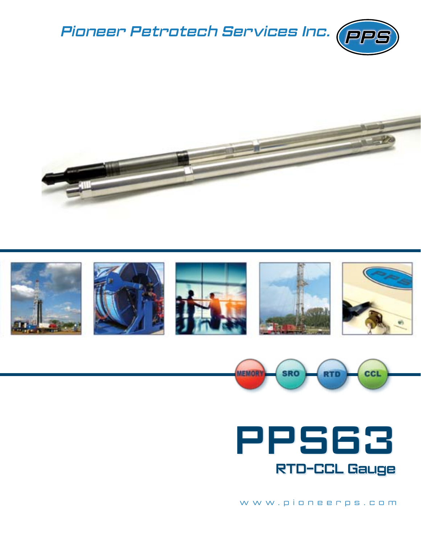











www.pioneerps.com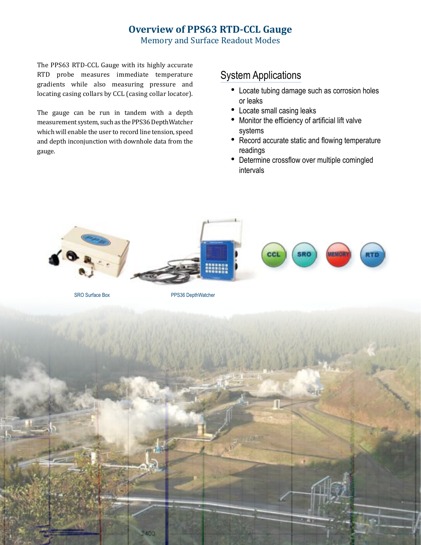## **Overview of PPS63 RTD-CCL Gauge**

Memory and Surface Readout Modes

The PPS63 RTD-CCL Gauge with its highly accurate RTD probe measures immediate temperature gradients while also measuring pressure and locating casing collars by CCL (casing collar locator).

The gauge can be run in tandem with a depth measurement system, such as the PPS36 DepthWatcher which will enable the user to record line tension, speed and depth inconjunction with downhole data from the gauge.

## System Applications

- Locate tubing damage such as corrosion holes or leaks
- Locate small casing leaks
- Monitor the efficiency of artificial lift valve systems
- Record accurate static and flowing temperature readings
- Determine crossflow over multiple comingled intervals



SRO Surface Box PPS36 DepthWatcher

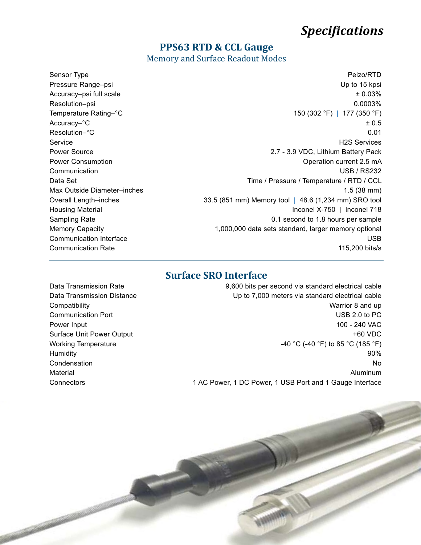# *Specifications*

#### **PPS63 RTD & CCL Gauge**

Memory and Surface Readout Modes

Sensor Type Peizo/RTD Pressure Range–psi **Details and Contract Contract Contract Contract Contract Contract Contract Contract Contract Contract Contract Contract Contract Contract Contract Contract Contract Contract Contract Contract Contract C** Accuracy–psi full scale  $\pm 0.03\%$ Resolution–psi 0.0003% Temperature Rating–°C  $\sim$  150 (302 °F) | 177 (350 °F)  $\text{Accuracy} - \degree \text{C}$   $\text{+ 0.5}$ Resolution–°C and the contract of the contract of the contract of the contract of the contract of the contract of the contract of the contract of the contract of the contract of the contract of the contract of the contract Service H2S Services Power Source **2.7 - 3.9 VDC, Lithium Battery Pack** Power Consumption **Power Consumption Consumption Consumption Consumption Operation current 2.5 mA** Communication **Communication Communication Communication USB** / RS232 Data Set **Data Set 2008** Time / Pressure / Temperature / RTD / CCL Max Outside Diameter–inches 1.5 (38 mm) Overall Length–inches 33.5 (851 mm) Memory tool | 48.6 (1,234 mm) SRO tool Housing Material Inconel X-750 | Inconel 718 Sampling Rate **but a second to 1.8 hours per sample 6.1** second to 1.8 hours per sample Memory Capacity **1,000,000** data sets standard, larger memory optional **Communication Interface Communication Interface Communication Interface USB Communication Rate 115,200 bits/s** 

#### **Surface SRO Interface**

Data Transmission Rate **19,000** bits per second via standard electrical cable Data Transmission Distance **Network 1980** Up to 7,000 meters via standard electrical cable Compatibility **Compatibility** Compatibility **Compatibility Warrior 8 and up Communication Port** Communication Port Communication Port Communication Port Communication Port Communication Por Power Input 100 - 240 VAC Surface Unit Power Output **Accord 2009 +60 VDC** Working Temperature **Constructs**  $-40 \degree C$  (-40  $\degree F$ ) to 85  $\degree C$  (185  $\degree F$ )  $\,$  Humidity  $\,$  90%  $\,$  $\blacksquare$ Condensation  $\blacksquare$ Material Aluminum Connectors **1 AC Power, 1 DC Power, 1 USB Port and 1 Gauge Interface**